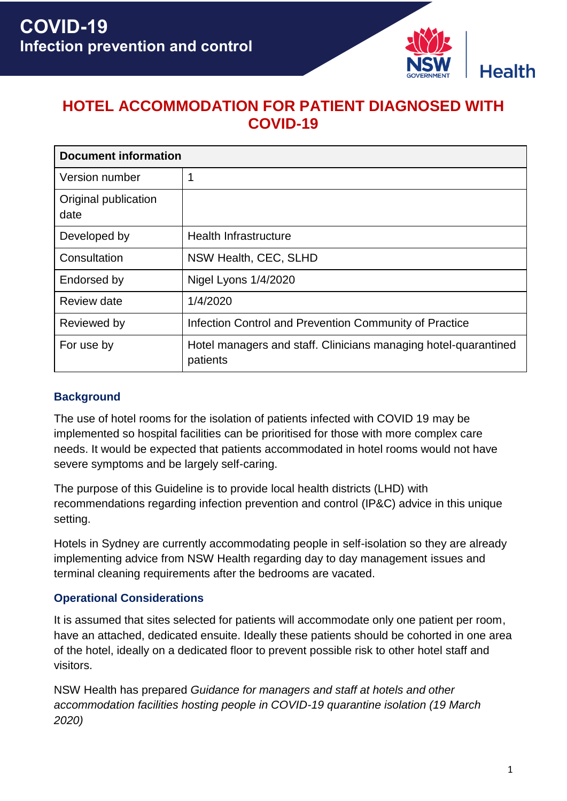

## **HOTEL ACCOMMODATION FOR PATIENT DIAGNOSED WITH COVID-19**

| <b>Document information</b>  |                                                                             |
|------------------------------|-----------------------------------------------------------------------------|
| Version number               |                                                                             |
| Original publication<br>date |                                                                             |
| Developed by                 | <b>Health Infrastructure</b>                                                |
| Consultation                 | NSW Health, CEC, SLHD                                                       |
| Endorsed by                  | Nigel Lyons 1/4/2020                                                        |
| Review date                  | 1/4/2020                                                                    |
| Reviewed by                  | Infection Control and Prevention Community of Practice                      |
| For use by                   | Hotel managers and staff. Clinicians managing hotel-quarantined<br>patients |

## **Background**

The use of hotel rooms for the isolation of patients infected with COVID 19 may be implemented so hospital facilities can be prioritised for those with more complex care needs. It would be expected that patients accommodated in hotel rooms would not have severe symptoms and be largely self-caring.

The purpose of this Guideline is to provide local health districts (LHD) with recommendations regarding infection prevention and control (IP&C) advice in this unique setting.

Hotels in Sydney are currently accommodating people in self-isolation so they are already implementing advice from NSW Health regarding day to day management issues and terminal cleaning requirements after the bedrooms are vacated.

## **Operational Considerations**

It is assumed that sites selected for patients will accommodate only one patient per room, have an attached, dedicated ensuite. Ideally these patients should be cohorted in one area of the hotel, ideally on a dedicated floor to prevent possible risk to other hotel staff and visitors.

NSW Health has prepared *Guidance for managers and staff at hotels and other accommodation facilities hosting people in COVID-19 quarantine isolation (19 March 2020)*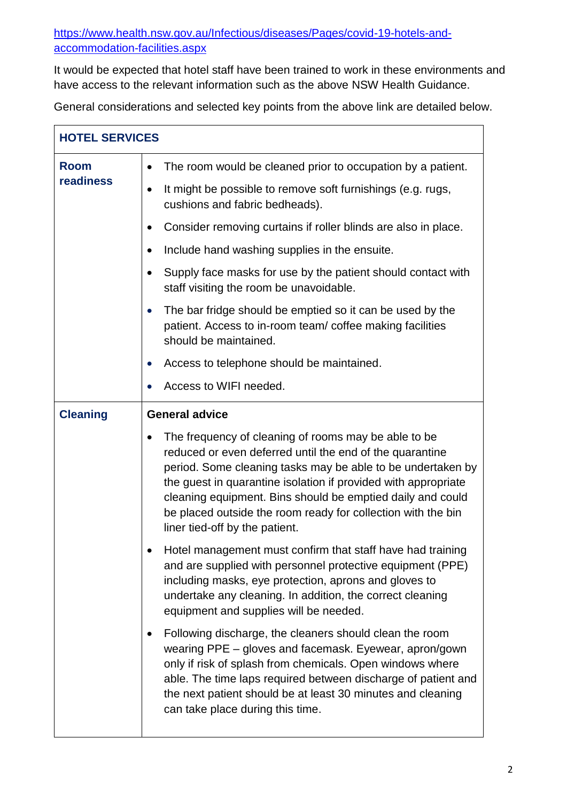[https://www.health.nsw.gov.au/Infectious/diseases/Pages/covid-19-hotels-and](https://www.health.nsw.gov.au/Infectious/diseases/Pages/covid-19-hotels-and-accommodation-facilities.aspx)[accommodation-facilities.aspx](https://www.health.nsw.gov.au/Infectious/diseases/Pages/covid-19-hotels-and-accommodation-facilities.aspx)

It would be expected that hotel staff have been trained to work in these environments and have access to the relevant information such as the above NSW Health Guidance.

General considerations and selected key points from the above link are detailed below.

| <b>HOTEL SERVICES</b> |                                                                                                                                                                                                                                                                                                                                                                                                                   |
|-----------------------|-------------------------------------------------------------------------------------------------------------------------------------------------------------------------------------------------------------------------------------------------------------------------------------------------------------------------------------------------------------------------------------------------------------------|
| <b>Room</b>           | The room would be cleaned prior to occupation by a patient.<br>$\bullet$                                                                                                                                                                                                                                                                                                                                          |
| readiness             | It might be possible to remove soft furnishings (e.g. rugs,<br>cushions and fabric bedheads).                                                                                                                                                                                                                                                                                                                     |
|                       | Consider removing curtains if roller blinds are also in place.<br>$\bullet$                                                                                                                                                                                                                                                                                                                                       |
|                       | Include hand washing supplies in the ensuite.<br>$\bullet$                                                                                                                                                                                                                                                                                                                                                        |
|                       | Supply face masks for use by the patient should contact with<br>$\bullet$<br>staff visiting the room be unavoidable.                                                                                                                                                                                                                                                                                              |
|                       | The bar fridge should be emptied so it can be used by the<br>patient. Access to in-room team/coffee making facilities<br>should be maintained.                                                                                                                                                                                                                                                                    |
|                       | Access to telephone should be maintained.                                                                                                                                                                                                                                                                                                                                                                         |
|                       | Access to WIFI needed.                                                                                                                                                                                                                                                                                                                                                                                            |
| <b>Cleaning</b>       | <b>General advice</b>                                                                                                                                                                                                                                                                                                                                                                                             |
|                       | The frequency of cleaning of rooms may be able to be<br>reduced or even deferred until the end of the quarantine<br>period. Some cleaning tasks may be able to be undertaken by<br>the guest in quarantine isolation if provided with appropriate<br>cleaning equipment. Bins should be emptied daily and could<br>be placed outside the room ready for collection with the bin<br>liner tied-off by the patient. |
|                       | Hotel management must confirm that staff have had training<br>and are supplied with personnel protective equipment (PPE)<br>including masks, eye protection, aprons and gloves to<br>undertake any cleaning. In addition, the correct cleaning<br>equipment and supplies will be needed.                                                                                                                          |
|                       | Following discharge, the cleaners should clean the room<br>٠<br>wearing PPE – gloves and facemask. Eyewear, apron/gown<br>only if risk of splash from chemicals. Open windows where<br>able. The time laps required between discharge of patient and<br>the next patient should be at least 30 minutes and cleaning<br>can take place during this time.                                                           |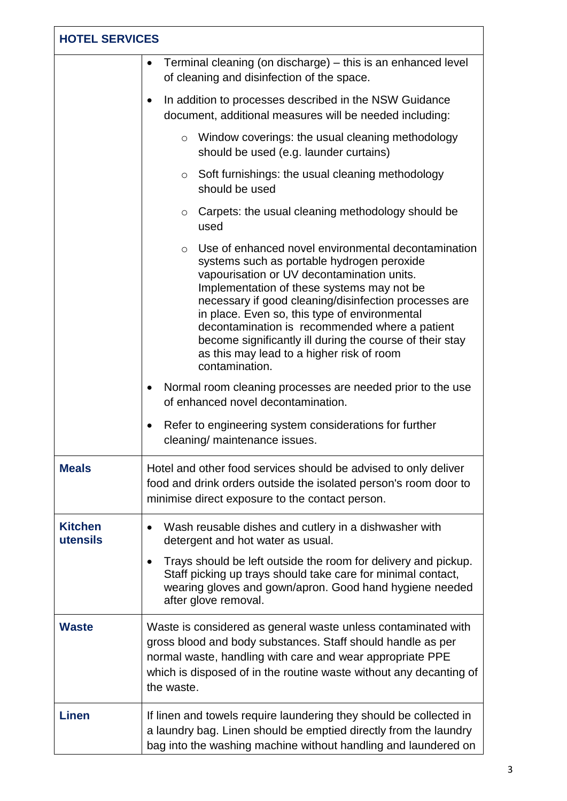| <b>HOTEL SERVICES</b>      |                                                                                                                                                                                                                                                                                                                                                                                                                                                                                                 |
|----------------------------|-------------------------------------------------------------------------------------------------------------------------------------------------------------------------------------------------------------------------------------------------------------------------------------------------------------------------------------------------------------------------------------------------------------------------------------------------------------------------------------------------|
|                            | Terminal cleaning (on discharge) - this is an enhanced level<br>$\bullet$<br>of cleaning and disinfection of the space.                                                                                                                                                                                                                                                                                                                                                                         |
|                            | In addition to processes described in the NSW Guidance<br>٠<br>document, additional measures will be needed including:                                                                                                                                                                                                                                                                                                                                                                          |
|                            | Window coverings: the usual cleaning methodology<br>$\circ$<br>should be used (e.g. launder curtains)                                                                                                                                                                                                                                                                                                                                                                                           |
|                            | Soft furnishings: the usual cleaning methodology<br>$\circ$<br>should be used                                                                                                                                                                                                                                                                                                                                                                                                                   |
|                            | Carpets: the usual cleaning methodology should be<br>$\circ$<br>used                                                                                                                                                                                                                                                                                                                                                                                                                            |
|                            | Use of enhanced novel environmental decontamination<br>$\circ$<br>systems such as portable hydrogen peroxide<br>vapourisation or UV decontamination units.<br>Implementation of these systems may not be<br>necessary if good cleaning/disinfection processes are<br>in place. Even so, this type of environmental<br>decontamination is recommended where a patient<br>become significantly ill during the course of their stay<br>as this may lead to a higher risk of room<br>contamination. |
|                            | Normal room cleaning processes are needed prior to the use<br>of enhanced novel decontamination.                                                                                                                                                                                                                                                                                                                                                                                                |
|                            | Refer to engineering system considerations for further<br>cleaning/ maintenance issues.                                                                                                                                                                                                                                                                                                                                                                                                         |
| <b>Meals</b>               | Hotel and other food services should be advised to only deliver<br>food and drink orders outside the isolated person's room door to<br>minimise direct exposure to the contact person.                                                                                                                                                                                                                                                                                                          |
| <b>Kitchen</b><br>utensils | Wash reusable dishes and cutlery in a dishwasher with<br>detergent and hot water as usual.                                                                                                                                                                                                                                                                                                                                                                                                      |
|                            | Trays should be left outside the room for delivery and pickup.<br>Staff picking up trays should take care for minimal contact,<br>wearing gloves and gown/apron. Good hand hygiene needed<br>after glove removal.                                                                                                                                                                                                                                                                               |
| <b>Waste</b>               | Waste is considered as general waste unless contaminated with<br>gross blood and body substances. Staff should handle as per<br>normal waste, handling with care and wear appropriate PPE<br>which is disposed of in the routine waste without any decanting of<br>the waste.                                                                                                                                                                                                                   |
| Linen                      | If linen and towels require laundering they should be collected in<br>a laundry bag. Linen should be emptied directly from the laundry<br>bag into the washing machine without handling and laundered on                                                                                                                                                                                                                                                                                        |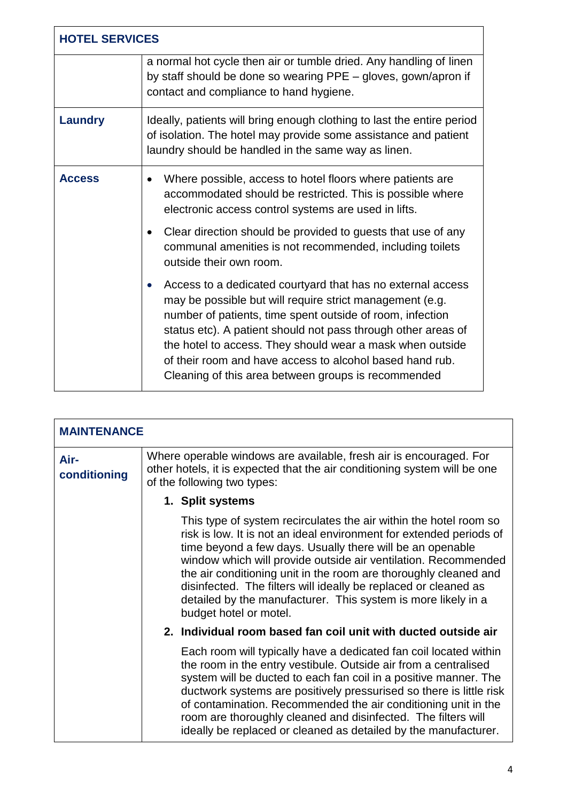| <b>HOTEL SERVICES</b> |                                                                                                                                                                                                                                                                                                                                                                                                                                                    |
|-----------------------|----------------------------------------------------------------------------------------------------------------------------------------------------------------------------------------------------------------------------------------------------------------------------------------------------------------------------------------------------------------------------------------------------------------------------------------------------|
|                       | a normal hot cycle then air or tumble dried. Any handling of linen<br>by staff should be done so wearing PPE – gloves, gown/apron if<br>contact and compliance to hand hygiene.                                                                                                                                                                                                                                                                    |
| <b>Laundry</b>        | Ideally, patients will bring enough clothing to last the entire period<br>of isolation. The hotel may provide some assistance and patient<br>laundry should be handled in the same way as linen.                                                                                                                                                                                                                                                   |
| <b>Access</b>         | Where possible, access to hotel floors where patients are<br>accommodated should be restricted. This is possible where<br>electronic access control systems are used in lifts.                                                                                                                                                                                                                                                                     |
|                       | Clear direction should be provided to guests that use of any<br>communal amenities is not recommended, including toilets<br>outside their own room.                                                                                                                                                                                                                                                                                                |
|                       | Access to a dedicated courtyard that has no external access<br>$\bullet$<br>may be possible but will require strict management (e.g.<br>number of patients, time spent outside of room, infection<br>status etc). A patient should not pass through other areas of<br>the hotel to access. They should wear a mask when outside<br>of their room and have access to alcohol based hand rub.<br>Cleaning of this area between groups is recommended |

| <b>MAINTENANCE</b>   |                                                                                                                                                                                                                                                                                                                                                                                                                                                                                                           |
|----------------------|-----------------------------------------------------------------------------------------------------------------------------------------------------------------------------------------------------------------------------------------------------------------------------------------------------------------------------------------------------------------------------------------------------------------------------------------------------------------------------------------------------------|
| Air-<br>conditioning | Where operable windows are available, fresh air is encouraged. For<br>other hotels, it is expected that the air conditioning system will be one<br>of the following two types:                                                                                                                                                                                                                                                                                                                            |
|                      | 1. Split systems                                                                                                                                                                                                                                                                                                                                                                                                                                                                                          |
|                      | This type of system recirculates the air within the hotel room so<br>risk is low. It is not an ideal environment for extended periods of<br>time beyond a few days. Usually there will be an openable<br>window which will provide outside air ventilation. Recommended<br>the air conditioning unit in the room are thoroughly cleaned and<br>disinfected. The filters will ideally be replaced or cleaned as<br>detailed by the manufacturer. This system is more likely in a<br>budget hotel or motel. |
|                      | 2. Individual room based fan coil unit with ducted outside air                                                                                                                                                                                                                                                                                                                                                                                                                                            |
|                      | Each room will typically have a dedicated fan coil located within<br>the room in the entry vestibule. Outside air from a centralised<br>system will be ducted to each fan coil in a positive manner. The<br>ductwork systems are positively pressurised so there is little risk<br>of contamination. Recommended the air conditioning unit in the<br>room are thoroughly cleaned and disinfected. The filters will<br>ideally be replaced or cleaned as detailed by the manufacturer.                     |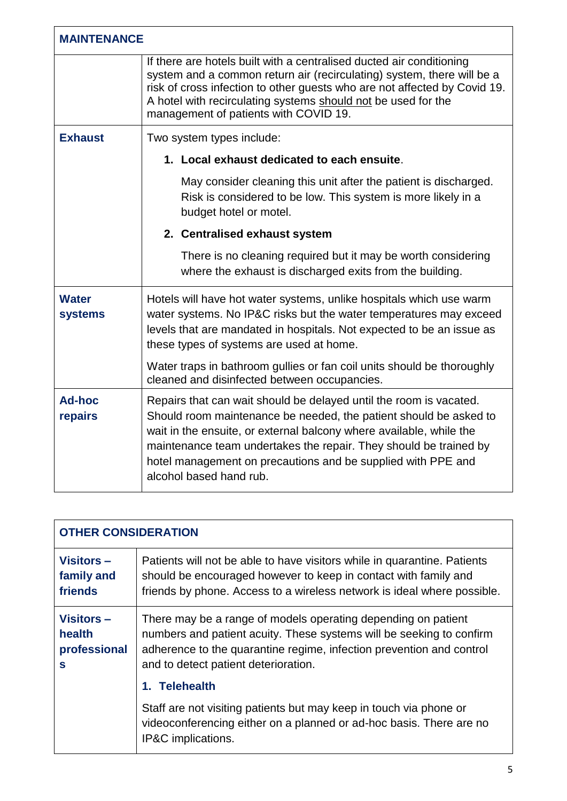| <b>MAINTENANCE</b>             |                                                                                                                                                                                                                                                                                                                                                                                |
|--------------------------------|--------------------------------------------------------------------------------------------------------------------------------------------------------------------------------------------------------------------------------------------------------------------------------------------------------------------------------------------------------------------------------|
|                                | If there are hotels built with a centralised ducted air conditioning<br>system and a common return air (recirculating) system, there will be a<br>risk of cross infection to other guests who are not affected by Covid 19.<br>A hotel with recirculating systems should not be used for the<br>management of patients with COVID 19.                                          |
| <b>Exhaust</b>                 | Two system types include:                                                                                                                                                                                                                                                                                                                                                      |
|                                | 1. Local exhaust dedicated to each ensuite.                                                                                                                                                                                                                                                                                                                                    |
|                                | May consider cleaning this unit after the patient is discharged.<br>Risk is considered to be low. This system is more likely in a<br>budget hotel or motel.                                                                                                                                                                                                                    |
|                                | 2. Centralised exhaust system                                                                                                                                                                                                                                                                                                                                                  |
|                                | There is no cleaning required but it may be worth considering<br>where the exhaust is discharged exits from the building.                                                                                                                                                                                                                                                      |
| <b>Water</b><br><b>systems</b> | Hotels will have hot water systems, unlike hospitals which use warm<br>water systems. No IP&C risks but the water temperatures may exceed<br>levels that are mandated in hospitals. Not expected to be an issue as<br>these types of systems are used at home.                                                                                                                 |
|                                | Water traps in bathroom gullies or fan coil units should be thoroughly<br>cleaned and disinfected between occupancies.                                                                                                                                                                                                                                                         |
| <b>Ad-hoc</b><br>repairs       | Repairs that can wait should be delayed until the room is vacated.<br>Should room maintenance be needed, the patient should be asked to<br>wait in the ensuite, or external balcony where available, while the<br>maintenance team undertakes the repair. They should be trained by<br>hotel management on precautions and be supplied with PPE and<br>alcohol based hand rub. |

| <b>OTHER CONSIDERATION</b>                |                                                                                                                                                                                                                                                       |
|-------------------------------------------|-------------------------------------------------------------------------------------------------------------------------------------------------------------------------------------------------------------------------------------------------------|
| Visitors-<br>family and<br>friends        | Patients will not be able to have visitors while in quarantine. Patients<br>should be encouraged however to keep in contact with family and<br>friends by phone. Access to a wireless network is ideal where possible.                                |
| Visitors –<br>health<br>professional<br>S | There may be a range of models operating depending on patient<br>numbers and patient acuity. These systems will be seeking to confirm<br>adherence to the quarantine regime, infection prevention and control<br>and to detect patient deterioration. |
|                                           | <b>Telehealth</b>                                                                                                                                                                                                                                     |
|                                           | Staff are not visiting patients but may keep in touch via phone or<br>videoconferencing either on a planned or ad-hoc basis. There are no<br>IP&C implications.                                                                                       |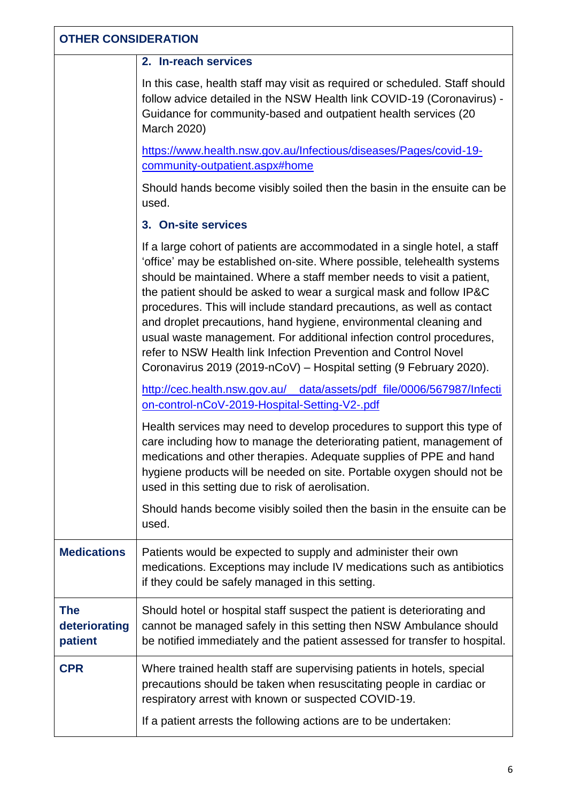| <b>OTHER CONSIDERATION</b>             |                                                                                                                                                                                                                                                                                                                                                                                                                                                                                                                                                                                                                                                                     |
|----------------------------------------|---------------------------------------------------------------------------------------------------------------------------------------------------------------------------------------------------------------------------------------------------------------------------------------------------------------------------------------------------------------------------------------------------------------------------------------------------------------------------------------------------------------------------------------------------------------------------------------------------------------------------------------------------------------------|
|                                        | 2. In-reach services                                                                                                                                                                                                                                                                                                                                                                                                                                                                                                                                                                                                                                                |
|                                        | In this case, health staff may visit as required or scheduled. Staff should<br>follow advice detailed in the NSW Health link COVID-19 (Coronavirus) -<br>Guidance for community-based and outpatient health services (20<br>March 2020)                                                                                                                                                                                                                                                                                                                                                                                                                             |
|                                        | https://www.health.nsw.gov.au/Infectious/diseases/Pages/covid-19-<br>community-outpatient.aspx#home                                                                                                                                                                                                                                                                                                                                                                                                                                                                                                                                                                 |
|                                        | Should hands become visibly soiled then the basin in the ensuite can be<br>used.                                                                                                                                                                                                                                                                                                                                                                                                                                                                                                                                                                                    |
|                                        | 3. On-site services                                                                                                                                                                                                                                                                                                                                                                                                                                                                                                                                                                                                                                                 |
|                                        | If a large cohort of patients are accommodated in a single hotel, a staff<br>'office' may be established on-site. Where possible, telehealth systems<br>should be maintained. Where a staff member needs to visit a patient,<br>the patient should be asked to wear a surgical mask and follow IP&C<br>procedures. This will include standard precautions, as well as contact<br>and droplet precautions, hand hygiene, environmental cleaning and<br>usual waste management. For additional infection control procedures,<br>refer to NSW Health link Infection Prevention and Control Novel<br>Coronavirus 2019 (2019-nCoV) - Hospital setting (9 February 2020). |
|                                        | http://cec.health.nsw.gov.au/_data/assets/pdf_file/0006/567987/Infecti<br>on-control-nCoV-2019-Hospital-Setting-V2-.pdf                                                                                                                                                                                                                                                                                                                                                                                                                                                                                                                                             |
|                                        | Health services may need to develop procedures to support this type of<br>care including how to manage the deteriorating patient, management of<br>medications and other therapies. Adequate supplies of PPE and hand<br>hygiene products will be needed on site. Portable oxygen should not be<br>used in this setting due to risk of aerolisation.                                                                                                                                                                                                                                                                                                                |
|                                        | Should hands become visibly soiled then the basin in the ensuite can be<br>used.                                                                                                                                                                                                                                                                                                                                                                                                                                                                                                                                                                                    |
| <b>Medications</b>                     | Patients would be expected to supply and administer their own<br>medications. Exceptions may include IV medications such as antibiotics<br>if they could be safely managed in this setting.                                                                                                                                                                                                                                                                                                                                                                                                                                                                         |
| <b>The</b><br>deteriorating<br>patient | Should hotel or hospital staff suspect the patient is deteriorating and<br>cannot be managed safely in this setting then NSW Ambulance should<br>be notified immediately and the patient assessed for transfer to hospital.                                                                                                                                                                                                                                                                                                                                                                                                                                         |
| <b>CPR</b>                             | Where trained health staff are supervising patients in hotels, special<br>precautions should be taken when resuscitating people in cardiac or<br>respiratory arrest with known or suspected COVID-19.                                                                                                                                                                                                                                                                                                                                                                                                                                                               |
|                                        | If a patient arrests the following actions are to be undertaken:                                                                                                                                                                                                                                                                                                                                                                                                                                                                                                                                                                                                    |